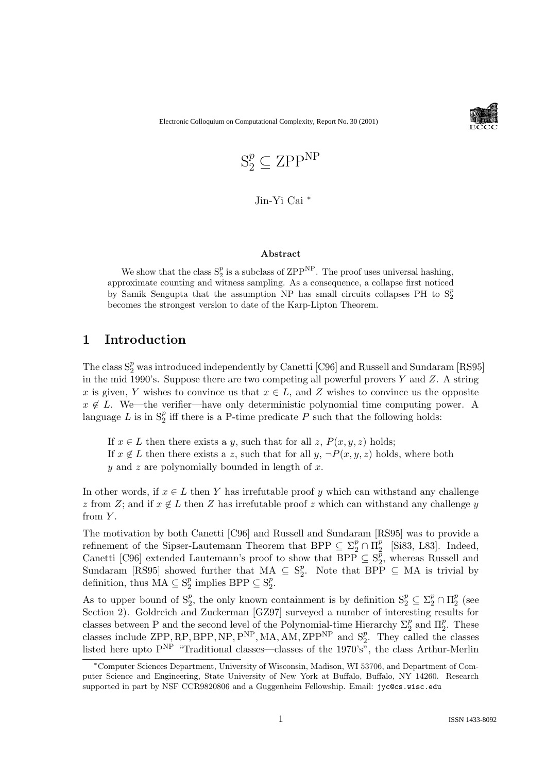Electronic Colloquium on Computational Complexity, Report No. 30 (2001)



$$
\mathbf{S}_2^p \subseteq \mathbf{ZPP^{NP}}
$$

Jin-Yi Cai <sup>∗</sup>

#### Abstract

We show that the class  $S_2^p$  is a subclass of ZPP<sup>NP</sup>. The proof uses universal hashing, approximate counting and witness sampling. As a consequence, a collapse first noticed by Samik Sengupta that the assumption NP has small circuits collapses PH to  $S_2^p$ becomes the strongest version to date of the Karp-Lipton Theorem.

# 1 Introduction

The class  $S_2^p$  was introduced independently by Canetti [C96] and Russell and Sundaram [RS95] in the mid 1990's. Suppose there are two competing all powerful provers  $Y$  and  $Z$ . A string x is given, Y wishes to convince us that  $x \in L$ , and Z wishes to convince us the opposite  $x \notin L$ . We—the verifier—have only deterministic polynomial time computing power. A language L is in  $S_2^p$  $P_2$  iff there is a P-time predicate P such that the following holds:

If  $x \in L$  then there exists a y, such that for all z,  $P(x, y, z)$  holds; If  $x \notin L$  then there exists a z, such that for all  $y, \neg P(x, y, z)$  holds, where both  $y$  and z are polynomially bounded in length of  $x$ .

In other words, if  $x \in L$  then Y has irrefutable proof y which can withstand any challenge z from Z; and if  $x \notin L$  then Z has irrefutable proof z which can withstand any challenge y from  $Y$ .

The motivation by both Canetti [C96] and Russell and Sundaram [RS95] was to provide a refinement of the Sipser-Lautemann Theorem that BPP  $\subseteq \Sigma_2^p \cap \Pi_2^p$  $\frac{p}{2}$  [Si83, L83]. Indeed, Canetti [C96] extended Lautemann's proof to show that BPP  $\subseteq S_2^p$  $_2^p$ , whereas Russell and Sundaram [RS95] showed further that MA  $\subseteq S_2^p$ <sup>*p*</sup>. Note that BPP  $\subseteq$  MA is trivial by definition, thus  $MA \subseteq S_2^p$  $_2^p$  implies BPP  $\subseteq$  S<sub>2</sub><sup> $_p$ </sup>  $\frac{p}{2}$ .

As to upper bound of  $S_2^p$ <sup>p</sup><sub>2</sub>, the only known containment is by definition  $S_2^p \subseteq \Sigma_2^p \cap \Pi_2^p$  $\frac{p}{2}$  (see Section 2). Goldreich and Zuckerman [GZ97] surveyed a number of interesting results for classes between P and the second level of the Polynomial-time Hierarchy  $\Sigma_2^p$  $\frac{p}{2}$  and  $\Pi_2^p$  $_2^p$ . These classes include ZPP, RP, BPP, NP,  $P^{NP}$ , MA, AM, ZPP<sup>NP</sup> and  $S_2^p$  $_2^p$ . They called the classes listed here upto  $P^{NP}$  "Traditional classes—classes of the 1970's", the class Arthur-Merlin

<sup>∗</sup>Computer Sciences Department, University of Wisconsin, Madison, WI 53706, and Department of Computer Science and Engineering, State University of New York at Buffalo, Buffalo, NY 14260. Research supported in part by NSF CCR9820806 and a Guggenheim Fellowship. Email: jyc@cs.wisc.edu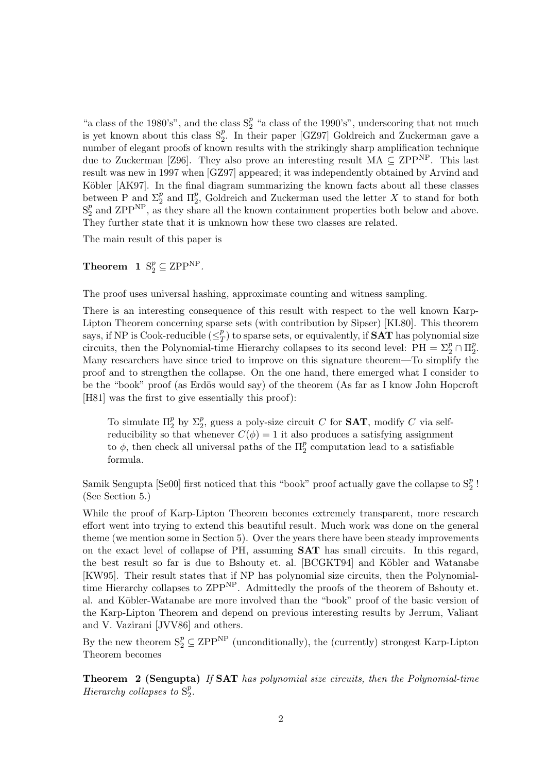"a class of the 1980's", and the class  $S_2^p$  $\frac{p}{2}$  "a class of the 1990's", underscoring that not much is yet known about this class  $S_2^p$  $_{2}^{p}$ . In their paper [GZ97] Goldreich and Zuckerman gave a number of elegant proofs of known results with the strikingly sharp amplification technique due to Zuckerman [Z96]. They also prove an interesting result  $MA \subseteq ZPP^{NP}$ . This last result was new in 1997 when [GZ97] appeared; it was independently obtained by Arvind and Köbler [AK97]. In the final diagram summarizing the known facts about all these classes between P and  $\Sigma_2^p$  $\frac{p}{2}$  and  $\Pi_2^p$ <sup>*p*</sup>, Goldreich and Zuckerman used the letter X to stand for both  $S_2^p$  $_2^p$  and ZPP<sup>NP</sup>, as they share all the known containment properties both below and above. They further state that it is unknown how these two classes are related.

The main result of this paper is

**Theorem 1**  $S_2^p \subseteq \text{ZPP}^{\text{NP}}$ .

The proof uses universal hashing, approximate counting and witness sampling.

There is an interesting consequence of this result with respect to the well known Karp-Lipton Theorem concerning sparse sets (with contribution by Sipser) [KL80]. This theorem says, if NP is Cook-reducible  $(\leq^p_7)$  $T(T/T)$  to sparse sets, or equivalently, if **SAT** has polynomial size circuits, then the Polynomial-time Hierarchy collapses to its second level:  $PH = \sum_{2}^{p} \cap \Pi_{2}^{p}$  $\frac{p}{2}$ . Many researchers have since tried to improve on this signature theorem—To simplify the proof and to strengthen the collapse. On the one hand, there emerged what I consider to be the "book" proof (as Erdös would say) of the theorem (As far as I know John Hopcroft [H81] was the first to give essentially this proof):

To simulate  $\Pi_2^p$  $\frac{p}{2}$  by  $\Sigma_2^p$  $_2^p$ , guess a poly-size circuit C for **SAT**, modify C via selfreducibility so that whenever  $C(\phi) = 1$  it also produces a satisfying assignment to  $\phi$ , then check all universal paths of the  $\Pi_2^p$  $\frac{p}{2}$  computation lead to a satisfiable formula.

Samik Sengupta [Se00] first noticed that this "book" proof actually gave the collapse to  $S_2^p$  $\frac{p}{2}$ ! (See Section 5.)

While the proof of Karp-Lipton Theorem becomes extremely transparent, more research effort went into trying to extend this beautiful result. Much work was done on the general theme (we mention some in Section 5). Over the years there have been steady improvements on the exact level of collapse of PH, assuming SAT has small circuits. In this regard, the best result so far is due to Bshouty et. al. [BCGKT94] and Köbler and Watanabe [KW95]. Their result states that if NP has polynomial size circuits, then the Polynomialtime Hierarchy collapses to ZPP<sup>NP</sup>. Admittedly the proofs of the theorem of Bshouty et. al. and Köbler-Watanabe are more involved than the "book" proof of the basic version of the Karp-Lipton Theorem and depend on previous interesting results by Jerrum, Valiant and V. Vazirani [JVV86] and others.

By the new theorem  $S_2^p \subseteq \mathrm{ZPP}^{\mathrm{NP}}$  (unconditionally), the (currently) strongest Karp-Lipton Theorem becomes

Theorem 2 (Sengupta) If SAT has polynomial size circuits, then the Polynomial-time Hierarchy collapses to  $S_2^p$  $\frac{p}{2}$ .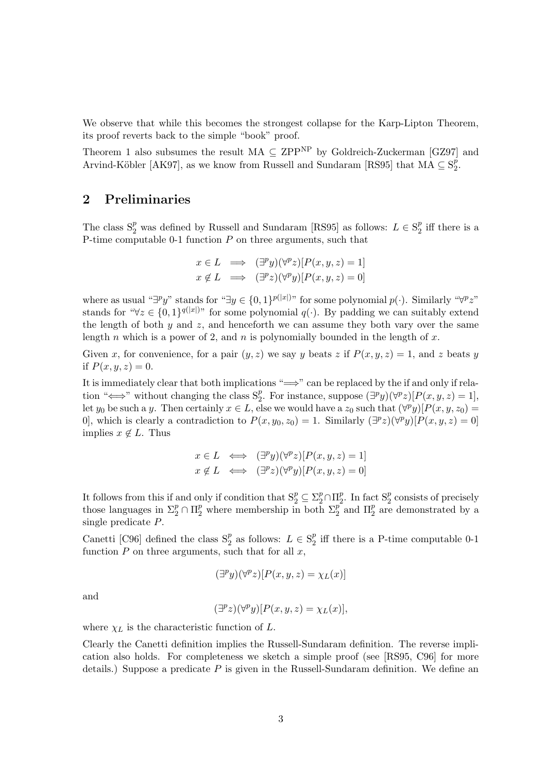We observe that while this becomes the strongest collapse for the Karp-Lipton Theorem, its proof reverts back to the simple "book" proof.

Theorem 1 also subsumes the result  $MA \subseteq ZPP^{NP}$  by Goldreich-Zuckerman [GZ97] and Arvind-Köbler [AK97], as we know from Russell and Sundaram [RS95] that  $\overline{MA} \subseteq S^p$  $\frac{p}{2}$ .

# 2 Preliminaries

The class  $S_2^p$  was defined by Russell and Sundaram [RS95] as follows:  $L \in S_2^p$  $_2^p$  iff there is a P-time computable 0-1 function  $P$  on three arguments, such that

$$
x \in L \implies (\exists^p y)(\forall^p z)[P(x, y, z) = 1]
$$
  

$$
x \notin L \implies (\exists^p z)(\forall^p y)[P(x, y, z) = 0]
$$

where as usual " $\exists^p y$ " stands for " $\exists y \in \{0,1\}^{p(|x|)$ " for some polynomial  $p(\cdot)$ . Similarly " $\forall^p z$ " stands for " $\forall z \in \{0,1\}^{q(|x|)}$ " for some polynomial  $q(\cdot)$ . By padding we can suitably extend the length of both  $y$  and  $z$ , and henceforth we can assume they both vary over the same length n which is a power of 2, and n is polynomially bounded in the length of  $x$ .

Given x, for convenience, for a pair  $(y, z)$  we say y beats z if  $P(x, y, z) = 1$ , and z beats y if  $P(x, y, z) = 0$ .

It is immediately clear that both implications " $\implies$ " can be replaced by the if and only if relation " $\Longleftrightarrow$ " without changing the class  $S_2^p$ <sup>p</sup><sub>2</sub>. For instance, suppose  $(\exists^p y)(\forall^p z)[P(x, y, z) = 1]$ , let y<sub>0</sub> be such a y. Then certainly  $x \in L$ , else we would have a  $z_0$  such that  $(\forall^p y)[P(x, y, z_0) =$ 0], which is clearly a contradiction to  $P(x, y_0, z_0) = 1$ . Similarly  $(\exists^p z)(\forall^p y)[P(x, y, z) = 0]$ implies  $x \notin L$ . Thus

$$
x \in L \iff (\exists^p y)(\forall^p z)[P(x, y, z) = 1]
$$
  

$$
x \notin L \iff (\exists^p z)(\forall^p y)[P(x, y, z) = 0]
$$

It follows from this if and only if condition that  $S_2^p \subseteq \sum_{i=1}^p \cap \prod_{i=1}^p$  $_2^p$ . In fact  $S_2^p$  $\frac{p}{2}$  consists of precisely those languages in  $\Sigma_2^p \cap \Pi_2^p$  where membership in both  $\Sigma_2^p$  $\frac{p}{2}$  and  $\Pi_2^p$  $_2^p$  are demonstrated by a single predicate P.

Canetti [C96] defined the class  $S_2^p$  $_2^p$  as follows:  $L \in \mathcal{S}_2^p$  $_2^p$  iff there is a P-time computable 0-1 function  $P$  on three arguments, such that for all  $x$ ,

$$
(\exists^p y)(\forall^p z)[P(x, y, z) = \chi_L(x)]
$$

and

$$
(\exists^p z)(\forall^p y)[P(x, y, z) = \chi_L(x)],
$$

where  $\chi_L$  is the characteristic function of L.

Clearly the Canetti definition implies the Russell-Sundaram definition. The reverse implication also holds. For completeness we sketch a simple proof (see [RS95, C96] for more details.) Suppose a predicate  $P$  is given in the Russell-Sundaram definition. We define an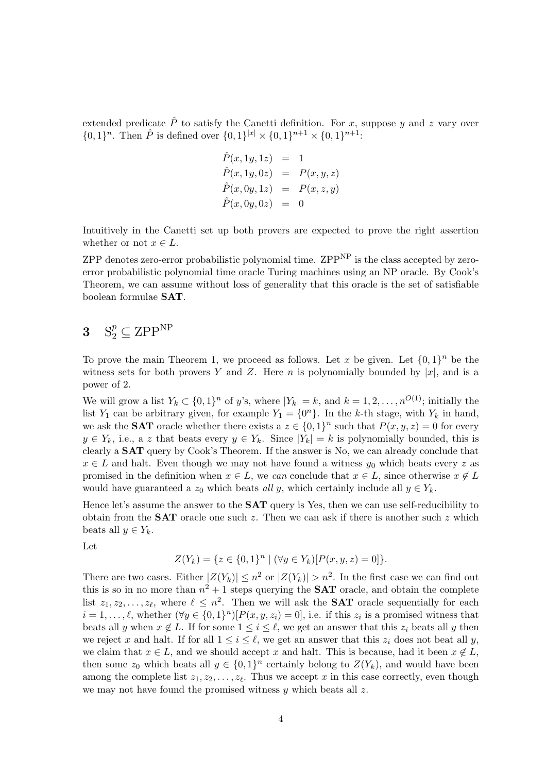extended predicate  $\hat{P}$  to satisfy the Canetti definition. For x, suppose y and z vary over  $\{0,1\}^n$ . Then  $\hat{P}$  is defined over  $\{0,1\}^{|x|} \times \{0,1\}^{n+1} \times \{0,1\}^{n+1}$ :

$$
\begin{array}{rcl}\n\hat{P}(x,1y,1z) & = & 1 \\
\hat{P}(x,1y,0z) & = & P(x,y,z) \\
\hat{P}(x,0y,1z) & = & P(x,z,y) \\
\hat{P}(x,0y,0z) & = & 0\n\end{array}
$$

Intuitively in the Canetti set up both provers are expected to prove the right assertion whether or not  $x \in L$ .

ZPP denotes zero-error probabilistic polynomial time.  $ZPP<sup>NP</sup>$  is the class accepted by zeroerror probabilistic polynomial time oracle Turing machines using an NP oracle. By Cook's Theorem, we can assume without loss of generality that this oracle is the set of satisfiable boolean formulae SAT.

# $\mathbf{3} \quad \mathrm{S}_2^p \subseteq \mathrm{ZPP}^{\mathrm{NP}}$

To prove the main Theorem 1, we proceed as follows. Let x be given. Let  $\{0,1\}^n$  be the witness sets for both provers Y and Z. Here n is polynomially bounded by  $|x|$ , and is a power of 2.

We will grow a list  $Y_k \subset \{0,1\}^n$  of y's, where  $|Y_k| = k$ , and  $k = 1, 2, \ldots, n^{O(1)}$ ; initially the list  $Y_1$  can be arbitrary given, for example  $Y_1 = \{0^n\}$ . In the k-th stage, with  $Y_k$  in hand, we ask the **SAT** oracle whether there exists a  $z \in \{0,1\}^n$  such that  $P(x, y, z) = 0$  for every  $y \in Y_k$ , i.e., a z that beats every  $y \in Y_k$ . Since  $|Y_k| = k$  is polynomially bounded, this is clearly a SAT query by Cook's Theorem. If the answer is No, we can already conclude that  $x \in L$  and halt. Even though we may not have found a witness  $y_0$  which beats every z as promised in the definition when  $x \in L$ , we can conclude that  $x \in L$ , since otherwise  $x \notin L$ would have guaranteed a  $z_0$  which beats all y, which certainly include all  $y \in Y_k$ .

Hence let's assume the answer to the SAT query is Yes, then we can use self-reducibility to obtain from the **SAT** oracle one such z. Then we can ask if there is another such z which beats all  $y \in Y_k$ .

Let

$$
Z(Y_k) = \{ z \in \{0,1\}^n \mid (\forall y \in Y_k)[P(x, y, z) = 0] \}.
$$

There are two cases. Either  $|Z(Y_k)| \leq n^2$  or  $|Z(Y_k)| > n^2$ . In the first case we can find out this is so in no more than  $n^2 + 1$  steps querying the **SAT** oracle, and obtain the complete list  $z_1, z_2, \ldots, z_\ell$ , where  $\ell \leq n^2$ . Then we will ask the **SAT** oracle sequentially for each  $i = 1, \ldots, \ell$ , whether  $(\forall y \in \{0, 1\}^n) [P(x, y, z_i) = 0]$ , i.e. if this  $z_i$  is a promised witness that beats all y when  $x \notin L$ . If for some  $1 \leq i \leq \ell$ , we get an answer that this  $z_i$  beats all y then we reject x and halt. If for all  $1 \leq i \leq \ell$ , we get an answer that this  $z_i$  does not beat all y, we claim that  $x \in L$ , and we should accept x and halt. This is because, had it been  $x \notin L$ , then some  $z_0$  which beats all  $y \in \{0,1\}^n$  certainly belong to  $Z(Y_k)$ , and would have been among the complete list  $z_1, z_2, \ldots, z_{\ell}$ . Thus we accept x in this case correctly, even though we may not have found the promised witness  $y$  which beats all  $z$ .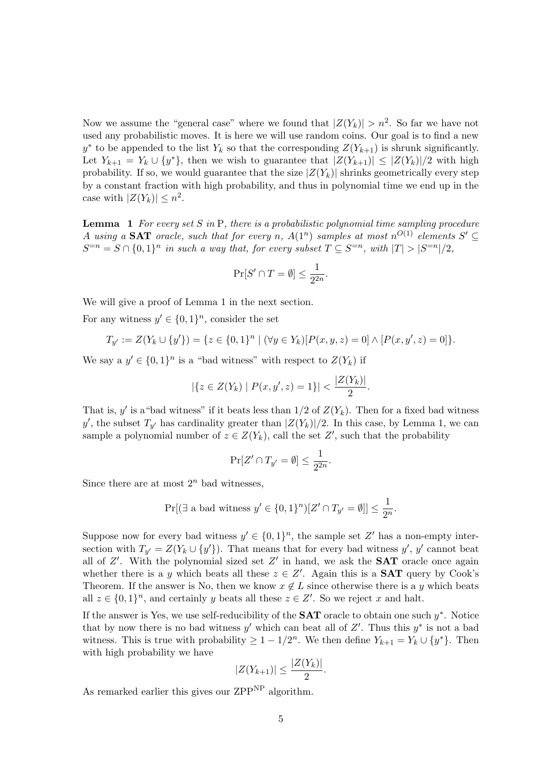Now we assume the "general case" where we found that  $|Z(Y_k)| > n^2$ . So far we have not used any probabilistic moves. It is here we will use random coins. Our goal is to find a new y<sup>\*</sup> to be appended to the list  $Y_k$  so that the corresponding  $Z(Y_{k+1})$  is shrunk significantly. Let  $Y_{k+1} = Y_k \cup \{y^*\}$ , then we wish to guarantee that  $|Z(Y_{k+1})| \leq |Z(Y_k)|/2$  with high probability. If so, we would guarantee that the size  $|Z(Y_k)|$  shrinks geometrically every step by a constant fraction with high probability, and thus in polynomial time we end up in the case with  $|Z(Y_k)| \leq n^2$ .

**Lemma** 1 For every set S in P, there is a probabilistic polynomial time sampling procedure A using a SAT oracle, such that for every n,  $A(1^n)$  samples at most  $n^{O(1)}$  elements  $S' \subseteq$  $S^{=n} = S \cap \{0,1\}^n$  in such a way that, for every subset  $T \subseteq S^{=n}$ , with  $|T| > |S^{=n}|/2$ ,

$$
\Pr[S' \cap T = \emptyset] \le \frac{1}{2^{2n}}.
$$

We will give a proof of Lemma 1 in the next section.

For any witness  $y' \in \{0,1\}^n$ , consider the set

$$
T_{y'} := Z(Y_k \cup \{y'\}) = \{z \in \{0,1\}^n \mid (\forall y \in Y_k)[P(x,y,z) = 0] \land [P(x,y',z) = 0]\}.
$$

We say a  $y' \in \{0,1\}^n$  is a "bad witness" with respect to  $Z(Y_k)$  if

$$
|\{z \in Z(Y_k) \mid P(x, y', z) = 1\}| < \frac{|Z(Y_k)|}{2}.
$$

That is, y' is a "bad witness" if it beats less than  $1/2$  of  $Z(Y_k)$ . Then for a fixed bad witness y', the subset  $T_{y'}$  has cardinality greater than  $|Z(Y_k)|/2$ . In this case, by Lemma 1, we can sample a polynomial number of  $z \in Z(Y_k)$ , call the set  $Z'$ , such that the probability

$$
\Pr[Z' \cap T_{y'} = \emptyset] \le \frac{1}{2^{2n}}.
$$

Since there are at most  $2^n$  bad witnesses,

$$
\Pr[(\exists \text{ a bad witness } y' \in \{0, 1\}^n)[Z' \cap T_{y'} = \emptyset]] \le \frac{1}{2^n}.
$$

Suppose now for every bad witness  $y' \in \{0,1\}^n$ , the sample set Z' has a non-empty intersection with  $T_{y'} = Z(Y_k \cup \{y'\})$ . That means that for every bad witness  $y', y'$  cannot beat all of  $Z'$ . With the polynomial sized set  $Z'$  in hand, we ask the **SAT** oracle once again whether there is a y which beats all these  $z \in Z'$ . Again this is a **SAT** query by Cook's Theorem. If the answer is No, then we know  $x \notin L$  since otherwise there is a y which beats all  $z \in \{0,1\}^n$ , and certainly y beats all these  $z \in Z'$ . So we reject x and halt.

If the answer is Yes, we use self-reducibility of the  $SAT$  oracle to obtain one such  $y^*$ . Notice that by now there is no bad witness  $y'$  which can beat all of  $Z'$ . Thus this  $y^*$  is not a bad witness. This is true with probability  $\geq 1 - 1/2^n$ . We then define  $Y_{k+1} = Y_k \cup \{y^*\}$ . Then with high probability we have

$$
|Z(Y_{k+1})| \leq \frac{|Z(Y_k)|}{2}.
$$

As remarked earlier this gives our  $\mathrm{ZPP}^{\mathrm{NP}}$  algorithm.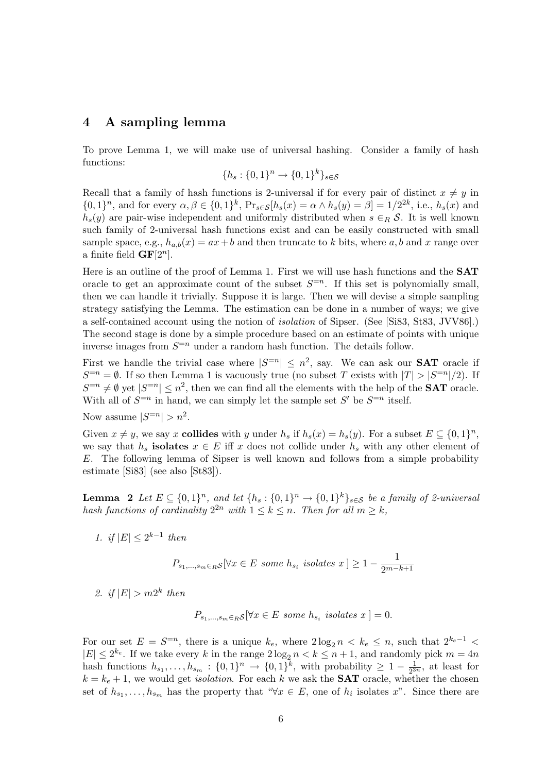### 4 A sampling lemma

To prove Lemma 1, we will make use of universal hashing. Consider a family of hash functions:

$$
\{h_s: \{0,1\}^n \to \{0,1\}^k\}_{s \in \mathcal{S}}
$$

Recall that a family of hash functions is 2-universal if for every pair of distinct  $x \neq y$  in  $\{0,1\}^n$ , and for every  $\alpha, \beta \in \{0,1\}^k$ ,  $Pr_{s \in \mathcal{S}}[h_s(x) = \alpha \wedge h_s(y) = \beta] = 1/2^{2k}$ , i.e.,  $h_s(x)$  and  $h_s(y)$  are pair-wise independent and uniformly distributed when  $s \in_R S$ . It is well known such family of 2-universal hash functions exist and can be easily constructed with small sample space, e.g.,  $h_{a,b}(x) = ax + b$  and then truncate to k bits, where a, b and x range over a finite field  $GF[2^n]$ .

Here is an outline of the proof of Lemma 1. First we will use hash functions and the SAT oracle to get an approximate count of the subset  $S^{=n}$ . If this set is polynomially small, then we can handle it trivially. Suppose it is large. Then we will devise a simple sampling strategy satisfying the Lemma. The estimation can be done in a number of ways; we give a self-contained account using the notion of isolation of Sipser. (See [Si83, St83, JVV86].) The second stage is done by a simple procedure based on an estimate of points with unique inverse images from  $S^{-n}$  under a random hash function. The details follow.

First we handle the trivial case where  $|S^{=n}| \leq n^2$ , say. We can ask our **SAT** oracle if  $S^{=n} = \emptyset$ . If so then Lemma 1 is vacuously true (no subset T exists with  $|T| > |S^{=n}|/2$ ). If  $S^{=n} \neq \emptyset$  yet  $|S^{=n}| \leq n^2$ , then we can find all the elements with the help of the **SAT** oracle. With all of  $S^{-n}$  in hand, we can simply let the sample set S' be  $S^{-n}$  itself.

Now assume 
$$
|S^{=n}| > n^2
$$
.

Given  $x \neq y$ , we say x **collides** with y under  $h_s$  if  $h_s(x) = h_s(y)$ . For a subset  $E \subseteq \{0,1\}^n$ , we say that  $h_s$  isolates  $x \in E$  iff x does not collide under  $h_s$  with any other element of E. The following lemma of Sipser is well known and follows from a simple probability estimate [Si83] (see also [St83]).

**Lemma** 2 Let  $E \subseteq \{0,1\}^n$ , and let  $\{h_s: \{0,1\}^n \to \{0,1\}^k\}_{s \in \mathcal{S}}$  be a family of 2-universal hash functions of cardinality  $2^{2n}$  with  $1 \leq k \leq n$ . Then for all  $m \geq k$ ,

1. if  $|E| \leq 2^{k-1}$  then

$$
P_{s_1,\ldots,s_m \in R} \mathcal{S} \, [\forall x \in E \text{ some } h_{s_i} \text{ isolates } x] \ge 1 - \frac{1}{2^{m-k+1}}
$$

2. if  $|E| > m2^k$  then

$$
P_{s_1,\ldots,s_m\in R}S[\forall x\in E \text{ some } h_{s_i} \text{ isolates } x] = 0.
$$

For our set  $E = S^{-n}$ , there is a unique  $k_e$ , where  $2 \log_2 n \, k_e \leq n$ , such that  $2^{k_e-1}$  <  $|E| \leq 2^{k_e}$ . If we take every k in the range  $2\log_2 n < k \leq n+1$ , and randomly pick  $m = 4n$ hash functions  $h_{s_1}, \ldots, h_{s_m} : \{0,1\}^n \to \{0,1\}^k$ , with probability  $\geq 1 - \frac{1}{2^3}$  $\frac{1}{2^{3n}}$ , at least for  $k = k_e + 1$ , we would get *isolation*. For each k we ask the **SAT** oracle, whether the chosen set of  $h_{s_1}, \ldots, h_{s_m}$  has the property that " $\forall x \in E$ , one of  $h_i$  isolates x". Since there are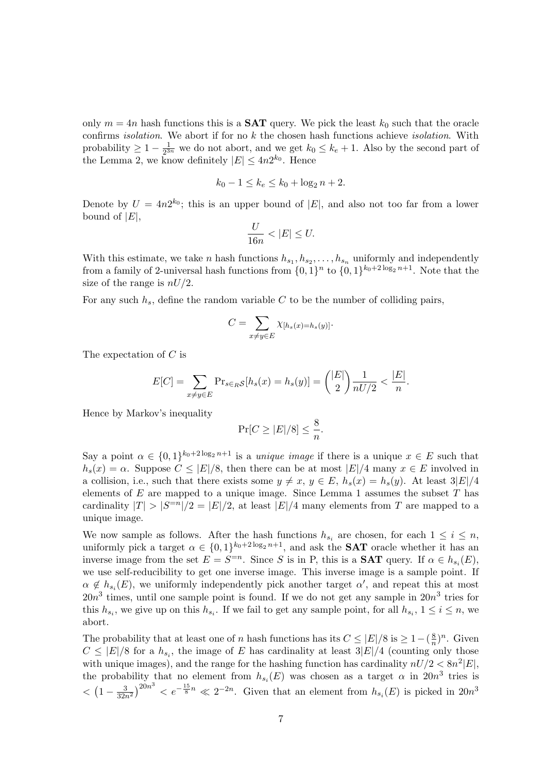only  $m = 4n$  hash functions this is a **SAT** query. We pick the least  $k_0$  such that the oracle confirms *isolation*. We abort if for no  $k$  the chosen hash functions achieve *isolation*. With probability  $\geq 1 - \frac{1}{2^3}$  $\frac{1}{2^{3n}}$  we do not abort, and we get  $k_0 \leq k_e + 1$ . Also by the second part of the Lemma 2, we know definitely  $|E| \leq 4n2^{k_0}$ . Hence

$$
k_0 - 1 \le k_e \le k_0 + \log_2 n + 2.
$$

Denote by  $U = 4n2^{k_0}$ ; this is an upper bound of |E|, and also not too far from a lower bound of  $|E|$ ,

$$
\frac{U}{16n} < |E| \le U.
$$

With this estimate, we take *n* hash functions  $h_{s_1}, h_{s_2}, \ldots, h_{s_n}$  uniformly and independently from a family of 2-universal hash functions from  $\{0,1\}^n$  to  $\{0,1\}^{k_0+2\log_2 n+1}$ . Note that the size of the range is  $nU/2$ .

For any such  $h_s$ , define the random variable C to be the number of colliding pairs,

$$
C = \sum_{x \neq y \in E} \chi_{[h_s(x) = h_s(y)]}.
$$

The expectation of C is

$$
E[C] = \sum_{x \neq y \in E} \Pr_{s \in_R \mathcal{S}}[h_s(x) = h_s(y)] = \binom{|E|}{2} \frac{1}{nU/2} < \frac{|E|}{n}.
$$

Hence by Markov's inequality

$$
\Pr[C \ge |E|/8] \le \frac{8}{n}.
$$

Say a point  $\alpha \in \{0,1\}^{k_0+2\log_2 n+1}$  is a *unique image* if there is a unique  $x \in E$  such that  $h_s(x) = \alpha$ . Suppose  $C \leq |E|/8$ , then there can be at most  $|E|/4$  many  $x \in E$  involved in a collision, i.e., such that there exists some  $y \neq x, y \in E$ ,  $h_s(x) = h_s(y)$ . At least  $3|E|/4$ elements of  $E$  are mapped to a unique image. Since Lemma 1 assumes the subset  $T$  has cardinality  $|T| > |S^{-n}|/2 = |E|/2$ , at least  $|E|/4$  many elements from T are mapped to a unique image.

We now sample as follows. After the hash functions  $h_{s_i}$  are chosen, for each  $1 \leq i \leq n$ , uniformly pick a target  $\alpha \in \{0,1\}^{k_0+2\log_2 n+1}$ , and ask the **SAT** oracle whether it has an inverse image from the set  $E = S^{-n}$ . Since S is in P, this is a **SAT** query. If  $\alpha \in h_{s_i}(E)$ , we use self-reducibility to get one inverse image. This inverse image is a sample point. If  $\alpha \notin h_{s_i}(E)$ , we uniformly independently pick another target  $\alpha'$ , and repeat this at most  $20n^3$  times, until one sample point is found. If we do not get any sample in  $20n^3$  tries for this  $h_{s_i}$ , we give up on this  $h_{s_i}$ . If we fail to get any sample point, for all  $h_{s_i}$ ,  $1 \le i \le n$ , we abort.

The probability that at least one of n hash functions has its  $C \leq |E|/8$  is  $\geq 1-(\frac{8}{n})^n$ . Given  $C \leq |E|/8$  for a  $h_{s_i}$ , the image of E has cardinality at least  $3|E|/4$  (counting only those with unique images), and the range for the hashing function has cardinality  $nU/2 < 8n^2|E|$ , the probability that no element from  $h_{s_i}(E)$  was chosen as a target  $\alpha$  in  $20n^3$  tries is  $\langle (1-\frac{3}{32n^2})^{20n^3} \rangle e^{-\frac{15}{8}n} \ll 2^{-2n}$ . Given that an element from  $h_{s_i}(E)$  is picked in  $20n^3$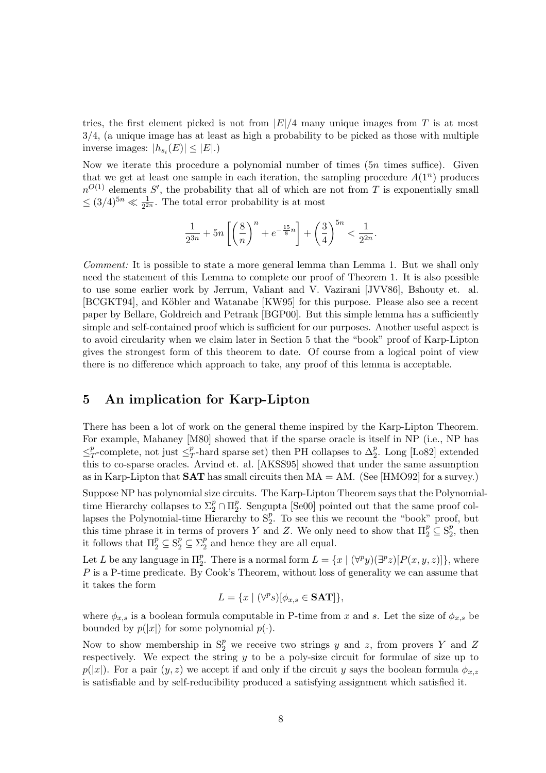tries, the first element picked is not from  $|E|/4$  many unique images from T is at most 3/4, (a unique image has at least as high a probability to be picked as those with multiple inverse images:  $|h_{s_i}(E)| \leq |E|$ .)

Now we iterate this procedure a polynomial number of times  $(5n \times 1)$ . Given that we get at least one sample in each iteration, the sampling procedure  $A(1^n)$  produces  $n^{O(1)}$  elements S', the probability that all of which are not from T is exponentially small  $\leq (3/4)^{5n} \ll \frac{1}{2^{2n}}$ . The total error probability is at most

$$
\frac{1}{2^{3n}} + 5n \left[ \left( \frac{8}{n} \right)^n + e^{-\frac{15}{8}n} \right] + \left( \frac{3}{4} \right)^{5n} < \frac{1}{2^{2n}}.
$$

Comment: It is possible to state a more general lemma than Lemma 1. But we shall only need the statement of this Lemma to complete our proof of Theorem 1. It is also possible to use some earlier work by Jerrum, Valiant and V. Vazirani [JVV86], Bshouty et. al. [BCGKT94], and Köbler and Watanabe [KW95] for this purpose. Please also see a recent paper by Bellare, Goldreich and Petrank [BGP00]. But this simple lemma has a sufficiently simple and self-contained proof which is sufficient for our purposes. Another useful aspect is to avoid circularity when we claim later in Section 5 that the "book" proof of Karp-Lipton gives the strongest form of this theorem to date. Of course from a logical point of view there is no difference which approach to take, any proof of this lemma is acceptable.

# 5 An implication for Karp-Lipton

There has been a lot of work on the general theme inspired by the Karp-Lipton Theorem. For example, Mahaney [M80] showed that if the sparse oracle is itself in NP (i.e., NP has  $\leq^p_7$  $T^p$ -complete, not just  $\leq^p_T$  $\frac{p}{T}$ -hard sparse set) then PH collapses to  $\Delta_2^p$  $2^p$ . Long [Lo82] extended this to co-sparse oracles. Arvind et. al. [AKSS95] showed that under the same assumption as in Karp-Lipton that **SAT** has small circuits then  $MA = AM$ . (See [HMO92] for a survey.)

Suppose NP has polynomial size circuits. The Karp-Lipton Theorem says that the Polynomialtime Hierarchy collapses to  $\Sigma_2^p \cap \Pi_2^p$  $_{2}^{p}$ . Sengupta [Se00] pointed out that the same proof collapses the Polynomial-time Hierarchy to  $S_2^p$  $2^p$ . To see this we recount the "book" proof, but this time phrase it in terms of provers Y and Z. We only need to show that  $\Pi_2^p \subseteq S_2^p$  $_2^p$ , then it follows that  $\Pi_2^p \subseteq \mathcal{S}_2^p \subseteq \Sigma_2^p$  $_2^p$  and hence they are all equal.

Let L be any language in  $\Pi_2^p$ <sup>p</sup>. There is a normal form  $L = \{x \mid (\forall^p y)(\exists^p z)[P(x, y, z)]\}$ , where P is a P-time predicate. By Cook's Theorem, without loss of generality we can assume that it takes the form

$$
L = \{x \mid (\forall^p s)[\phi_{x,s} \in \mathbf{SAT}]\},\
$$

where  $\phi_{x,s}$  is a boolean formula computable in P-time from x and s. Let the size of  $\phi_{x,s}$  be bounded by  $p(|x|)$  for some polynomial  $p(\cdot)$ .

Now to show membership in  $S_2^p$  we receive two strings y and z, from provers Y and Z respectively. We expect the string  $y$  to be a poly-size circuit for formulae of size up to  $p(|x|)$ . For a pair  $(y, z)$  we accept if and only if the circuit y says the boolean formula  $\phi_{x,z}$ is satisfiable and by self-reducibility produced a satisfying assignment which satisfied it.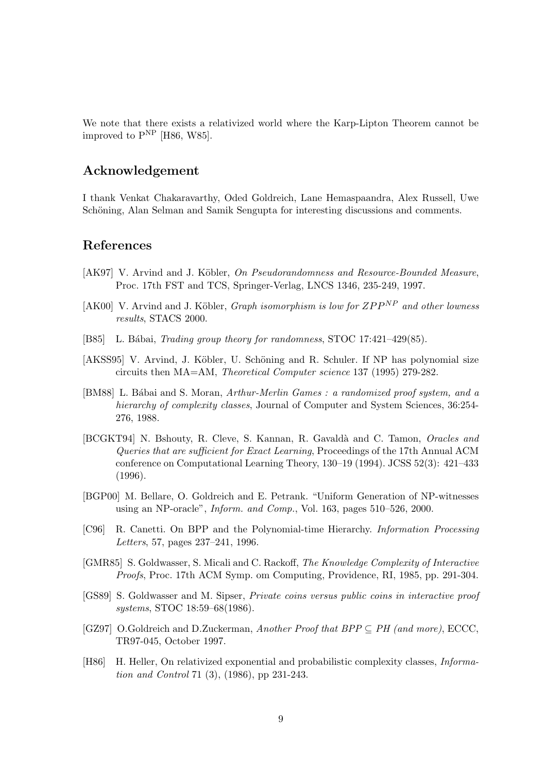We note that there exists a relativized world where the Karp-Lipton Theorem cannot be improved to  $P^{NP}$  [H86, W85].

# Acknowledgement

I thank Venkat Chakaravarthy, Oded Goldreich, Lane Hemaspaandra, Alex Russell, Uwe Schöning, Alan Selman and Samik Sengupta for interesting discussions and comments.

#### References

- [AK97] V. Arvind and J. Köbler, On Pseudorandomness and Resource-Bounded Measure, Proc. 17th FST and TCS, Springer-Verlag, LNCS 1346, 235-249, 1997.
- [AK00] V. Arvind and J. Köbler, *Graph isomorphism is low for*  $ZPP^{NP}$  *and other lowness* results, STACS 2000.
- [B85] L. Bábai, *Trading group theory for randomness*, STOC 17:421-429(85).
- [AKSS95] V. Arvind, J. Köbler, U. Schöning and R. Schuler. If NP has polynomial size circuits then MA=AM, Theoretical Computer science 137 (1995) 279-282.
- [BM88] L. Bábai and S. Moran, Arthur-Merlin Games : a randomized proof system, and a hierarchy of complexity classes, Journal of Computer and System Sciences, 36:254-276, 1988.
- [BCGKT94] N. Bshouty, R. Cleve, S. Kannan, R. Gavaldà and C. Tamon, Oracles and Queries that are sufficient for Exact Learning, Proceedings of the 17th Annual ACM conference on Computational Learning Theory, 130–19 (1994). JCSS 52(3): 421–433 (1996).
- [BGP00] M. Bellare, O. Goldreich and E. Petrank. "Uniform Generation of NP-witnesses using an NP-oracle", Inform. and Comp., Vol. 163, pages 510–526, 2000.
- [C96] R. Canetti. On BPP and the Polynomial-time Hierarchy. Information Processing Letters, 57, pages 237–241, 1996.
- [GMR85] S. Goldwasser, S. Micali and C. Rackoff, The Knowledge Complexity of Interactive Proofs, Proc. 17th ACM Symp. om Computing, Providence, RI, 1985, pp. 291-304.
- [GS89] S. Goldwasser and M. Sipser, Private coins versus public coins in interactive proof systems, STOC 18:59–68(1986).
- [GZ97] O.Goldreich and D.Zuckerman, Another Proof that  $BPP \subseteq PH$  (and more), ECCC, TR97-045, October 1997.
- [H86] H. Heller, On relativized exponential and probabilistic complexity classes, Information and Control 71 (3), (1986), pp 231-243.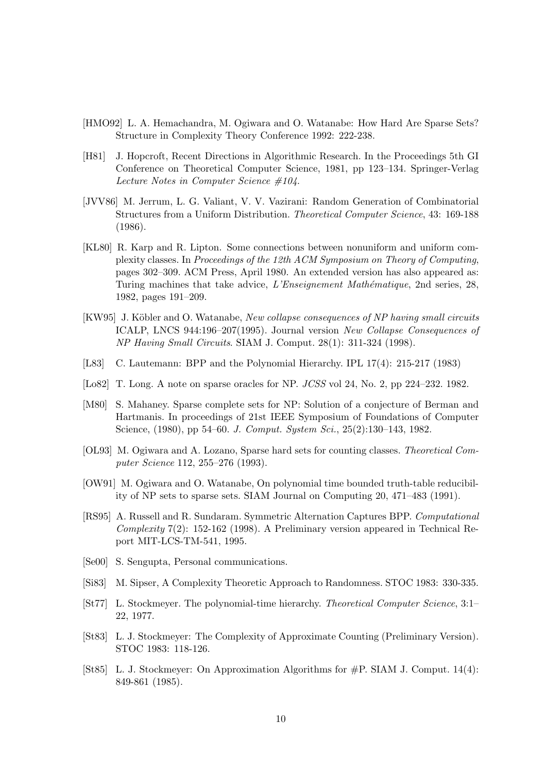- [HMO92] L. A. Hemachandra, M. Ogiwara and O. Watanabe: How Hard Are Sparse Sets? Structure in Complexity Theory Conference 1992: 222-238.
- [H81] J. Hopcroft, Recent Directions in Algorithmic Research. In the Proceedings 5th GI Conference on Theoretical Computer Science, 1981, pp 123–134. Springer-Verlag Lecture Notes in Computer Science #104.
- [JVV86] M. Jerrum, L. G. Valiant, V. V. Vazirani: Random Generation of Combinatorial Structures from a Uniform Distribution. Theoretical Computer Science, 43: 169-188 (1986).
- [KL80] R. Karp and R. Lipton. Some connections between nonuniform and uniform complexity classes. In Proceedings of the 12th ACM Symposium on Theory of Computing, pages 302–309. ACM Press, April 1980. An extended version has also appeared as: Turing machines that take advice, L'Enseignement Mathématique, 2nd series, 28, 1982, pages 191–209.
- [KW95] J. Köbler and O. Watanabe, New collapse consequences of NP having small circuits ICALP, LNCS 944:196–207(1995). Journal version New Collapse Consequences of NP Having Small Circuits. SIAM J. Comput. 28(1): 311-324 (1998).
- [L83] C. Lautemann: BPP and the Polynomial Hierarchy. IPL 17(4): 215-217 (1983)
- [Lo82] T. Long. A note on sparse oracles for NP. JCSS vol 24, No. 2, pp 224–232. 1982.
- [M80] S. Mahaney. Sparse complete sets for NP: Solution of a conjecture of Berman and Hartmanis. In proceedings of 21st IEEE Symposium of Foundations of Computer Science, (1980), pp 54–60. J. Comput. System Sci., 25(2):130–143, 1982.
- [OL93] M. Ogiwara and A. Lozano, Sparse hard sets for counting classes. Theoretical Computer Science 112, 255–276 (1993).
- [OW91] M. Ogiwara and O. Watanabe, On polynomial time bounded truth-table reducibility of NP sets to sparse sets. SIAM Journal on Computing 20, 471–483 (1991).
- [RS95] A. Russell and R. Sundaram. Symmetric Alternation Captures BPP. Computational Complexity 7(2): 152-162 (1998). A Preliminary version appeared in Technical Report MIT-LCS-TM-541, 1995.
- [Se00] S. Sengupta, Personal communications.
- [Si83] M. Sipser, A Complexity Theoretic Approach to Randomness. STOC 1983: 330-335.
- [St77] L. Stockmeyer. The polynomial-time hierarchy. Theoretical Computer Science, 3:1– 22, 1977.
- [St83] L. J. Stockmeyer: The Complexity of Approximate Counting (Preliminary Version). STOC 1983: 118-126.
- [St85] L. J. Stockmeyer: On Approximation Algorithms for #P. SIAM J. Comput. 14(4): 849-861 (1985).